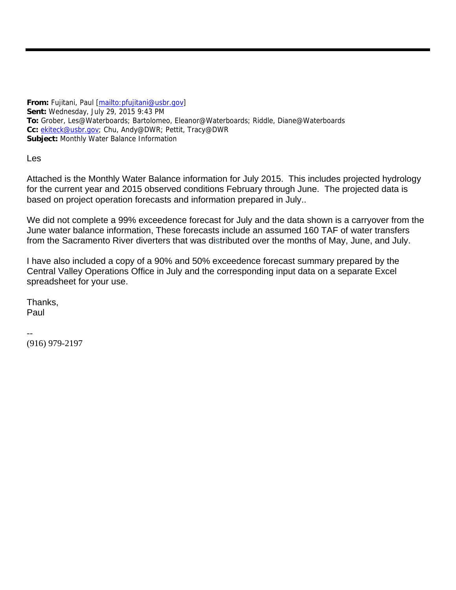**From:** Fujitani, Paul [mailto:pfujitani@usbr.gov] **Sent:** Wednesday, July 29, 2015 9:43 PM **To:** Grober, Les@Waterboards; Bartolomeo, Eleanor@Waterboards; Riddle, Diane@Waterboards **Cc:** ekiteck@usbr.gov; Chu, Andy@DWR; Pettit, Tracy@DWR **Subject:** Monthly Water Balance Information

Les

Attached is the Monthly Water Balance information for July 2015. This includes projected hydrology for the current year and 2015 observed conditions February through June. The projected data is based on project operation forecasts and information prepared in July..

We did not complete a 99% exceedence forecast for July and the data shown is a carryover from the June water balance information, These forecasts include an assumed 160 TAF of water transfers from the Sacramento River diverters that was distributed over the months of May, June, and July.

I have also included a copy of a 90% and 50% exceedence forecast summary prepared by the Central Valley Operations Office in July and the corresponding input data on a separate Excel spreadsheet for your use.

Thanks, Paul

-- (916) 979-2197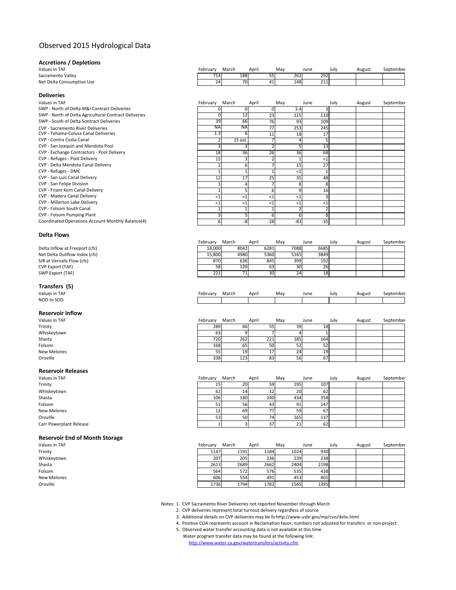## Observed 2015 Hydrological Data

### **Accretions / Depletions**

| alues in TAF              |  |
|---------------------------|--|
| iacramento Valley         |  |
| let Delta Consumptive Use |  |

|  | <b>Deliveries</b> |
|--|-------------------|
|  |                   |

| <b>DEIIVELIES</b>                                                                |
|----------------------------------------------------------------------------------|
| Values in TAF                                                                    |
| SWP - North of Delta M&I Contract Deliveries                                     |
| SWP - North of Delta Agricultural Contract Deliveries                            |
| SWP - South of Delta Sontract Deliveries                                         |
| <b>CVP - Sacramento River Deliveries</b><br>CVP - Tehama-Colusa Canal Deliveries |
| CVP - Contra Costa Canal                                                         |
| CVP - San Joaquin and Mendota Pool                                               |
| CVP - Exchange Contractors - Pool Delivery                                       |
| CVP - Refuges - Pool Delivery                                                    |
| CVP - Delta Mendota Canal Delivery                                               |
| CVP - Refuges - DMC                                                              |
|                                                                                  |

- CVP San Luis Canal Delivery
- CVP San Felipe Division
- CVP Friant Kern Canal Delivery
- CVP Madera Canal Delivery
- CVP Millerton Lake Delivery CVP - Folsom South Canal
- CVP Folsom Pumping Plant
- Coordinated Operations Account Monthly Balance(4)

### **Delta Flows**

| Delta Inflow at Freeport (cfs) |
|--------------------------------|
| Net Delta Outflow Index (cfs   |
| SJR at Vernalis Flow (cfs)     |
| <b>CVP Export (TAF)</b>        |
| SWP Export (TAF)               |

# **Transfers (5)**<br>Values in TAF

NOD to SOD

#### **Reservoir Inflow**

| Values in TAF      |
|--------------------|
| Trinity            |
| Whiskeytown        |
| Shasta             |
| Folsom             |
| <b>New Melones</b> |
| Oroville           |
|                    |

#### **Reservoir Releases**

| Values in TAF           |  |
|-------------------------|--|
| Trinity                 |  |
| Whiskeytown             |  |
| Shasta                  |  |
| Folsom                  |  |
| New Melones             |  |
| Oroville                |  |
| Carr Powerplant Release |  |

### **Reservoir End of Month Storage**

| Values in TAF      | February | March | April | May  | June | July | August | September |
|--------------------|----------|-------|-------|------|------|------|--------|-----------|
| Trinity            | 1147     | 1191  | 1184  | 1024 | 930  |      |        |           |
| Whiskeytown        | 207      | 205   | 236   | 239  | 238  |      |        |           |
| Shasta             | 2613     | 2689  | 2662  | 2404 | 2198 |      |        |           |
| Folsom             | 564      | 572   | 576   | 535  | 438  |      |        |           |
| <b>New Melones</b> | 606      | 554   | 491   | 453  | 401  |      |        |           |
| Oroville           | 1736     | 1794  | 1782  | 1565 | 1395 |      |        |           |
|                    |          |       |       |      |      |      |        |           |

Notes: 1. CVP Sacramento River Deliveries not reported November through March

- 2. CVP deliveries represent total turnout delivery regardless of source
- 3. Additional details on CVP deliveries may be fohttp://www.usbr.gov/mp/cvo/deliv.html
- 4. Positive COA represents account in Reclamation favor, numbers not adjusted for transfers or non‐project
- 5. Observed water transfer accounting data is not available at this time. Water program transfer data may be found at the following link: http://www.water.ca.gov/watertransfers/activity.cfm

| Values in TAF             | February | March | April            | Mav | June | Julv | August | September |
|---------------------------|----------|-------|------------------|-----|------|------|--------|-----------|
| Sacramento Vallev         | 714      | 188   | 55 <sup>l</sup>  | 262 | 292  |      |        |           |
| Net Delta Consumptive Use | 24       |       | 70<br>41<br>r .L | 148 | 211  |      |        |           |

| Values in TAF                                         | February  | March     | April | May   | June  | July | August | September |
|-------------------------------------------------------|-----------|-----------|-------|-------|-------|------|--------|-----------|
| SWP - North of Delta M&I Contract Deliveries          |           | $\Omega$  |       | 3.4   |       |      |        |           |
| SWP - North of Delta Agricultural Contract Deliveries |           | 12        | 23    | 115   | 110   |      |        |           |
| SWP - South of Delta Sontract Deliveries              | 39        | 66        | 76    | 93    | 109   |      |        |           |
| CVP - Sacramento River Deliveries                     | <b>NA</b> | <b>NA</b> | 77    | 253   | 245   |      |        |           |
| CVP - Tehama-Colusa Canal Deliveries                  | 1.3       |           | 11    | 18    | 17    |      |        |           |
| CVP - Contra Costa Canal                              |           | 15 est.   |       |       |       |      |        |           |
| CVP - San Joaquin and Mendota Pool                    |           |           |       |       | 13    |      |        |           |
| CVP - Exchange Contractors - Pool Delivery            | 18        | 36        | 26    | 36    | 68    |      |        |           |
| CVP - Refuges - Pool Delivery                         | 15        |           |       |       | <1    |      |        |           |
| CVP - Delta Mendota Canal Delivery                    |           |           |       | 15    | 27    |      |        |           |
| CVP - Refuges - DMC                                   |           |           |       | $<$ 1 |       |      |        |           |
| CVP - San Luis Canal Delivery                         | 12        | 17        | 25    | 35    | 48    |      |        |           |
| CVP - San Felipe Division                             |           |           |       |       |       |      |        |           |
| CVP - Friant Kern Canal Delivery                      |           |           |       |       | 16    |      |        |           |
| CVP - Madera Canal Delivery                           | $<$ 1     | <1        | $<$ 1 | <1    |       |      |        |           |
| CVP - Millerton Lake Delivery                         | $<$ 1     | <1        | <1    | <′    | $<$ 1 |      |        |           |
| CVP - Folsom South Canal                              |           |           |       |       |       |      |        |           |
| CVP - Folsom Pumping Plant                            |           |           |       |       |       |      |        |           |
| Coordinated Operations Account Monthly Balance(4)     | 6         | -8        | $-28$ | $-83$ | $-35$ |      |        |           |
|                                                       |           |           |       |       |       |      |        |           |

|                                | February | March | April | Mav  | June | Julv | August | September |
|--------------------------------|----------|-------|-------|------|------|------|--------|-----------|
| Delta Inflow at Freeport (cfs) | 18.000   | 8042  | 6281  | 7088 | 6685 |      |        |           |
| Net Delta Outflow Index (cfs)  | 15.800   | 4980  | 5360  | 5165 | 3849 |      |        |           |
| SJR at Vernalis Flow (cfs)     | 870      | 636   | 845   | 399  | 192  |      |        |           |
| CVP Export (TAF)               | 58       | 120   | 63    | 30   | 26   |      |        |           |
| SWP Export (TAF)               | 221      |       | 30    | 24   | 18   |      |        |           |

| Values in TAF | February | March | April | Mav | June | July | August | September |
|---------------|----------|-------|-------|-----|------|------|--------|-----------|
| NOD to SOD    |          |       |       |     |      |      |        |           |

| Values in TAF | February | March | April |     | May | June | July | August | September |
|---------------|----------|-------|-------|-----|-----|------|------|--------|-----------|
| Trinity       | 289      |       | 66    | 55  | 39  | 18   |      |        |           |
| Whiskeytown   | 63       |       |       |     |     |      |      |        |           |
| Shasta        | 720      | 262   |       | 221 | 185 | 164  |      |        |           |
| Folsom        | 168      | 65    |       | 50  | 52  | 52   |      |        |           |
| New Melones   | 55       |       | 19    | 17' | 24  | 19   |      |        |           |
| Oroville      | 338      | 123   |       | 83  | 56  | 67'  |      |        |           |

| Values in TAF           | February | March | April | May | June | July | August | September |
|-------------------------|----------|-------|-------|-----|------|------|--------|-----------|
| Trinity                 | ᄓ        | 20    | 59    | 195 | 107  |      |        |           |
| Whiskeytown             | 62       | 14    | 12    | 20  | 62   |      |        |           |
| Shasta                  | 106      | 180   | 240   | 434 | 358  |      |        |           |
| Folsom                  | 51       | 56    | 43    | 91  | 147  |      |        |           |
| New Melones             | 12       | 69    | 77    | 59  | 67   |      |        |           |
| Oroville                | 53       | 50    | 74    | 165 | 137  |      |        |           |
| Carr Powerplant Release |          |       | 37    | 21  | 62   |      |        |           |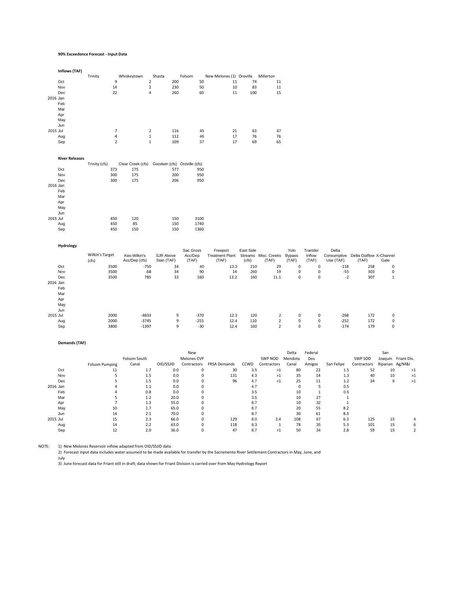#### **90% Exceedence Forecast ‐ Input Data**

**Inflows (TAF)**

|                       | Trinity         |                         | Whiskeytown       | Shasta                       | Folsom    | New Melones (1) Oroville Millerton |           |                      |               |             |           |                                     |             |
|-----------------------|-----------------|-------------------------|-------------------|------------------------------|-----------|------------------------------------|-----------|----------------------|---------------|-------------|-----------|-------------------------------------|-------------|
| Oct                   |                 | 9                       | $\overline{2}$    | 200                          | 50        | 11                                 | 74        | 11                   |               |             |           |                                     |             |
| Nov                   |                 | 14                      | $\mathbf 2$       | 230                          | 50        | $10\,$                             | 83        | 11                   |               |             |           |                                     |             |
| Dec                   |                 | 22                      | $\overline{4}$    | 260                          | 60        | 11                                 | 100       | 15                   |               |             |           |                                     |             |
| 2016 Jan              |                 |                         |                   |                              |           |                                    |           |                      |               |             |           |                                     |             |
| Feb                   |                 |                         |                   |                              |           |                                    |           |                      |               |             |           |                                     |             |
| Mar                   |                 |                         |                   |                              |           |                                    |           |                      |               |             |           |                                     |             |
| Apr                   |                 |                         |                   |                              |           |                                    |           |                      |               |             |           |                                     |             |
| May                   |                 |                         |                   |                              |           |                                    |           |                      |               |             |           |                                     |             |
| Jun                   |                 |                         |                   |                              |           |                                    |           |                      |               |             |           |                                     |             |
| 2015 Jul              |                 | $\overline{7}$          | $\overline{2}$    | 116                          | 45        | 21                                 | 63        | 67                   |               |             |           |                                     |             |
| Aug                   |                 | $\overline{\mathbf{4}}$ | $\mathbf 1$       | 112                          | 46        | 17                                 | 76        | 76                   |               |             |           |                                     |             |
|                       |                 | $\overline{2}$          | $\mathbf{1}$      | 109                          | 37        | 17                                 | 69        | 65                   |               |             |           |                                     |             |
| Sep                   |                 |                         |                   |                              |           |                                    |           |                      |               |             |           |                                     |             |
| <b>River Releases</b> |                 |                         |                   |                              |           |                                    |           |                      |               |             |           |                                     |             |
|                       | Trinity (cfs)   |                         | Clear Creek (cfs) | Goodwin (cfs) Oroville (cfs) |           |                                    |           |                      |               |             |           |                                     |             |
| Oct                   |                 | 373                     | 175               | 577                          | 950       |                                    |           |                      |               |             |           |                                     |             |
| Nov                   |                 | 300                     | 175               | 200                          | 950       |                                    |           |                      |               |             |           |                                     |             |
| Dec                   |                 | 300                     | 175               | 206                          | 950       |                                    |           |                      |               |             |           |                                     |             |
| 2016 Jan              |                 |                         |                   |                              |           |                                    |           |                      |               |             |           |                                     |             |
|                       |                 |                         |                   |                              |           |                                    |           |                      |               |             |           |                                     |             |
| Feb                   |                 |                         |                   |                              |           |                                    |           |                      |               |             |           |                                     |             |
| Mar                   |                 |                         |                   |                              |           |                                    |           |                      |               |             |           |                                     |             |
| Apr                   |                 |                         |                   |                              |           |                                    |           |                      |               |             |           |                                     |             |
| May                   |                 |                         |                   |                              |           |                                    |           |                      |               |             |           |                                     |             |
| Jun                   |                 |                         |                   |                              |           |                                    |           |                      |               |             |           |                                     |             |
| 2015 Jul              |                 | 450                     | 120               | 150                          | 3100      |                                    |           |                      |               |             |           |                                     |             |
| Aug                   |                 | 450                     | 85                | 150                          | 1740      |                                    |           |                      |               |             |           |                                     |             |
| Sep                   |                 | 450                     | 150               | 150                          | 1360      |                                    |           |                      |               |             |           |                                     |             |
| Hydrology             |                 |                         |                   |                              |           |                                    |           |                      |               |             |           |                                     |             |
|                       |                 |                         |                   |                              | Sac Gross | Freeport                           | East Side |                      | Yolo          | Transfer    | Delta     |                                     |             |
|                       | Wilkin's Target |                         | Kes-Wilkin's      | SJR Above                    | Acc/Dep   | <b>Treatment Plant</b>             |           | Streams Misc. Creeks | <b>Bypass</b> | Inflow      |           | Consumptive Delta Outflow X-Channel |             |
|                       | (cfs)           |                         | Acc/Dep (cfs)     | Stan (TAF)                   | (TAF)     | (TAF)                              | (cts)     | (TAF)                | (TAF)         | (TAF)       | Use (TAF) | (TAF)                               | Gate        |
| Oct                   |                 | 3500                    | $-750$            | 34                           | 40        | 13.3                               | 210       | 29                   | 0             | 0           | $-118$    | 258                                 | $\pmb{0}$   |
| Nov                   |                 | 3500                    | $-68$             | 34                           | 90        | 14                                 | 260       | 19                   | $\pmb{0}$     | $\mathbf 0$ | $-55$     | 303                                 | $\pmb{0}$   |
| Dec                   |                 | 3500                    | 785               | 33                           | 160       | 13.2                               | 160       | 11.1                 | $\mathbf 0$   | $\mathbf 0$ | $-2$      | 307                                 | $\mathbf 1$ |
|                       |                 |                         |                   |                              |           |                                    |           |                      |               |             |           |                                     |             |
| 2016 Jan              |                 |                         |                   |                              |           |                                    |           |                      |               |             |           |                                     |             |
| Feb                   |                 |                         |                   |                              |           |                                    |           |                      |               |             |           |                                     |             |
| Mar                   |                 |                         |                   |                              |           |                                    |           |                      |               |             |           |                                     |             |
| Apr                   |                 |                         |                   |                              |           |                                    |           |                      |               |             |           |                                     |             |
| May                   |                 |                         |                   |                              |           |                                    |           |                      |               |             |           |                                     |             |
| Jun                   |                 |                         |                   |                              |           |                                    |           |                      |               |             |           |                                     |             |
| 2015 Jul              |                 | 2000                    | $-4833$           | 9                            | $-370$    | 12.3                               | 120       | $\overline{2}$       | $\mathbf 0$   | $\mathsf 0$ | $-268$    | 172                                 | 0           |
| Aug                   |                 | 2000                    | $-3745$           | 9                            | $-255$    | 12.4                               | 110       | $\mathbf 2$          | $\mathbf 0$   | 0           | $-252$    | 172                                 | $\pmb{0}$   |
| Sep                   |                 | 3800                    | $-1397$           | 9                            | $-30$     | 12.4                               | 160       | $\overline{2}$       | 0             | $\mathbf 0$ | $-174$    | 179                                 | $\pmb{0}$   |
|                       |                 |                         |                   |                              |           |                                    |           |                      |               |             |           |                                     |             |

#### **Demands (TAF)**

|          |                |              |           | New         |                     | Federal<br>Delta |             |         |        |            |             | San             |                     |
|----------|----------------|--------------|-----------|-------------|---------------------|------------------|-------------|---------|--------|------------|-------------|-----------------|---------------------|
|          |                | Folsom South |           | Melones CVP |                     |                  | SWP NOD     | Mendota | Dos    |            | SWP SOD     |                 | Joaquin Friant Div. |
|          | Folsom Pumping | Canal        | OID/SSJID | Contractors | <b>FRSA Demands</b> | CCWD             | Contractors | Canal   | Amigos | San Felipe | Contractors | Riparian Ag/M&I |                     |
| Oct      | 11             | 1.7          | 0.0       |             | 30                  | 3.5              | >1          | 80      | 22     | 1.5        | 52          | 10              | >1                  |
| Nov      |                | 1.5          | 0.0       |             | 131                 | 4.3              | >1          | 35      | 14     | 1.3        | 40          | 10              | >1                  |
| Dec      |                | 1.5          | 0.0       |             | 96                  | 4.7              | >1          | 25      | 11     | 1.2        | 34          | 9               | >1                  |
| 2016 Jan |                | 1.1          | 0.0       |             |                     | 4.7              |             |         |        | 0.5        |             |                 |                     |
| Feb      |                | 0.8          | 0.0       |             |                     | 3.5              |             | 10      |        | 0.5        |             |                 |                     |
| Mar      |                | 1.2          | 20.0      |             |                     | 3.5              |             | 10      | 27     |            |             |                 |                     |
| Apr      |                | 1.3          | 55.0      |             |                     | 8.7              |             | 10      | 32     |            |             |                 |                     |
| May      | 10             | 1.7          | 65.0      |             |                     | 8.7              |             | 20      | 55     | 8.2        |             |                 |                     |
| Jun      | 14             | 2.1          | 70.0      |             |                     | 8.7              |             | 30      | 61     | 8.3        |             |                 |                     |
| 2015 Jul | 15             | 2.3          | 66.0      |             | 129                 | 8.0              | 3.4         | 108     | 67     | 6.3        | 125         | 15              |                     |
| Aug      | 14             | 2.2          | 63.0      |             | 118                 | 8.3              |             | 78      | 35     | 5.3        | 101         | 15              |                     |
| Sep      |                | 2.0          | 36.0      |             | 47                  | 8.7              | >1          | 50      | 34     | 2.8        | 59          | 15              |                     |

NOTE: 1) New Melones Reservoir inflow adapted from OID/SSJID data<br>2) Forecast input data includes water assumed to be made available for transfer by the Sacramento River Settlement Contractors in May, June, and

July<br>3) June forecast data for Friant still in draft; data shown for Friant Division is carried over from May Hydrology Reporl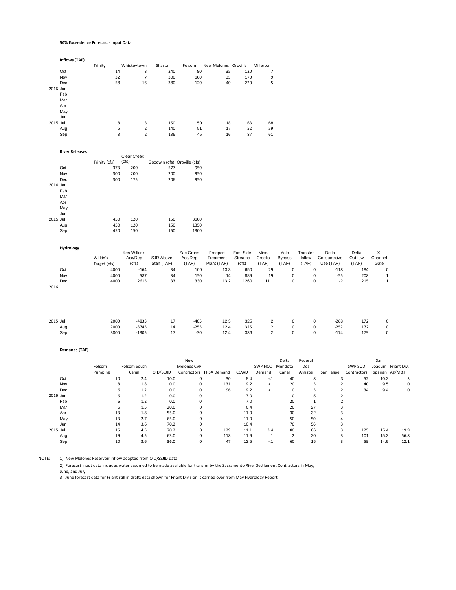#### **50% Exceedence Forecast ‐ Input Data**

|          | Inflows (TAF)                       |                             |                                    |                                            |                               |                                      |                               |                                                       |
|----------|-------------------------------------|-----------------------------|------------------------------------|--------------------------------------------|-------------------------------|--------------------------------------|-------------------------------|-------------------------------------------------------|
|          |                                     | Trinity                     | Whiskeytown                        | Shasta                                     | Folsom                        | New Melones Oroville                 |                               | Millerton                                             |
|          | Oct                                 | 14                          | 3                                  | 240                                        | 90                            | 35                                   | 120                           | 7                                                     |
|          | Nov                                 | 32                          | $\overline{7}$                     | 300                                        | 100                           | 35                                   | 170                           | 9                                                     |
|          | Dec                                 | 58                          | 16                                 | 380                                        | 120                           | 40                                   | 220                           | 5                                                     |
| 2016 Jan |                                     |                             |                                    |                                            |                               |                                      |                               |                                                       |
|          | Feb                                 |                             |                                    |                                            |                               |                                      |                               |                                                       |
|          | Mar                                 |                             |                                    |                                            |                               |                                      |                               |                                                       |
|          | Apr                                 |                             |                                    |                                            |                               |                                      |                               |                                                       |
|          | May                                 |                             |                                    |                                            |                               |                                      |                               |                                                       |
|          | Jun                                 |                             |                                    |                                            |                               |                                      |                               |                                                       |
| 2015 Jul |                                     | 8                           | 3                                  | 150                                        | 50                            | 18                                   | 63                            | 68                                                    |
|          | Aug                                 | 5                           | $\overline{2}$                     | 140                                        | 51                            | 17                                   | 52                            | 59                                                    |
|          | Sep                                 | $\overline{\mathbf{3}}$     | $\overline{2}$                     | 136                                        | 45                            | 16                                   | 87                            | 61                                                    |
|          | <b>River Releases</b><br>Oct<br>Nov | Trinity (cfs)<br>373<br>300 | Clear Creek<br>(cfs)<br>200<br>200 | Goodwin (cfs) Oroville (cfs)<br>577<br>200 | 950<br>950                    |                                      |                               |                                                       |
|          | Dec                                 | 300                         | 175                                | 206                                        | 950                           |                                      |                               |                                                       |
| 2016 Jan |                                     |                             |                                    |                                            |                               |                                      |                               |                                                       |
|          | Feb                                 |                             |                                    |                                            |                               |                                      |                               |                                                       |
|          | Mar                                 |                             |                                    |                                            |                               |                                      |                               |                                                       |
|          | Apr                                 |                             |                                    |                                            |                               |                                      |                               |                                                       |
|          | May                                 |                             |                                    |                                            |                               |                                      |                               |                                                       |
|          | Jun                                 |                             |                                    |                                            |                               |                                      |                               |                                                       |
| 2015 Jul |                                     | 450                         | 120                                | 150                                        | 3100                          |                                      |                               |                                                       |
|          | Aug                                 | 450                         | 120                                | 150                                        | 1350                          |                                      |                               |                                                       |
|          | Sep                                 | 450                         | 150                                | 150                                        | 1300                          |                                      |                               |                                                       |
|          | Hydrology                           | Wilkin's<br>Target (cfs)    | Kes-Wilkin's<br>Acc/Dep<br>(cfs)   | SJR Above<br>Stan (TAF)                    | Sac Gross<br>Acc/Dep<br>(TAF) | Freeport<br>Treatment<br>Plant (TAF) | East Side<br>Streams<br>(cfs) | Misc.<br>Υ<br>Creeks<br>By<br>(TAF)<br>$(\mathsf{T})$ |

| χ-       |
|----------|
| Channel  |
| Gate     |
| 184<br>0 |
| 208      |
| 215      |
|          |
|          |

| 2015 Jul | 2000 | $-4833$ | 17 | $-405$ | 12.3 | 325            | $\sim$ 2 0 $\sim$ | $\mathbf{0}$ | $-268$ | 172 | $\mathbf 0$    |
|----------|------|---------|----|--------|------|----------------|-------------------|--------------|--------|-----|----------------|
| Aug      | 2000 | -3745   | 14 | $-255$ |      | 12.4 325 2 0 0 |                   |              | $-252$ | 172 | $\overline{0}$ |
| Sep      | 3800 | -1305   | 17 | $-30$  | 12.4 |                | 336 2 0 0         |              | $-174$ | 179 | $\mathbf{0}$   |
|          |      |         |    |        |      |                |                   |              |        |     |                |

**Demands (TAF)**

|          |         |    |              |           | New         |                         |      | Federal<br>Delta |                |        |            |             | San             |                     |
|----------|---------|----|--------------|-----------|-------------|-------------------------|------|------------------|----------------|--------|------------|-------------|-----------------|---------------------|
|          | Folsom  |    | Folsom South |           | Melones CVP |                         |      | SWP NOD          | Mendota        | Dos    |            | SWP SOD     |                 | Joaquin Friant Div. |
|          | Pumping |    | Canal        | OID/SSJID |             | Contractors FRSA Demand | CCWD | Demand           | Canal          | Amigos | San Felipe | Contractors | Riparian Ag/M&I |                     |
| Oct      |         | 10 | 2.4          | 10.0      | 0           | 30                      | 8.4  | <1               | 40             | 8      | -5         | 52          | 10.2            | 3                   |
| Nov      |         | 8  | 1.8          | 0.0       | 0           | 131                     | 9.2  | <1               | 20             |        |            | 40          | 9.5             | 0                   |
| Dec      |         | 6  | 1.2          | 0.0       |             | 96                      | 9.2  | <1               | 10             |        |            | 34          | 9.4             | 0                   |
| 2016 Jan |         | 6  | 1.2          | 0.0       |             |                         | 7.0  |                  | 10             | 5      |            |             |                 |                     |
| Feb      |         | 6  | 1.2          | 0.0       |             |                         | 7.0  |                  | 20             |        |            |             |                 |                     |
| Mar      |         | 6  | 1.5          | 20.0      |             |                         | 6.4  |                  | 20             | 27     |            |             |                 |                     |
| Apr      |         | 13 | 1.8          | 55.0      |             |                         | 11.9 |                  | 30             | 32     |            |             |                 |                     |
| May      |         | 13 | 2.7          | 65.0      |             |                         | 11.9 |                  | 50             | 50     |            |             |                 |                     |
| Jun      |         | 14 | 3.6          | 70.2      |             |                         | 10.4 |                  | 70             | 56     |            |             |                 |                     |
| 2015 Jul |         | 15 | 4.5          | 70.2      | 0           | 129                     | 11.1 | 3.4              | 80             | 66     |            | 125         | 15.4            | 19.9                |
| Aug      |         | 19 | 4.5          | 63.0      | $\Omega$    | 118                     | 11.9 |                  | $\overline{2}$ | 20     |            | 101         | 15.3            | 56.8                |
| Sep      |         | 10 | 3.6          | 36.0      | 0           | 47                      | 12.5 | <1               | 60             | 15     |            | 59          | 14.9            | 12.1                |

NOTE: 1) New Melones Reservoir inflow adapted from OID/SSJID data

2) Forecast input data includes water assumed to be made available for transfer by the Sacramento River Settlement Contractors in May,

June, and July<br>3) June forecast data for Friant still in draft; data shown for Friant Division is carried over from May Hydrology Report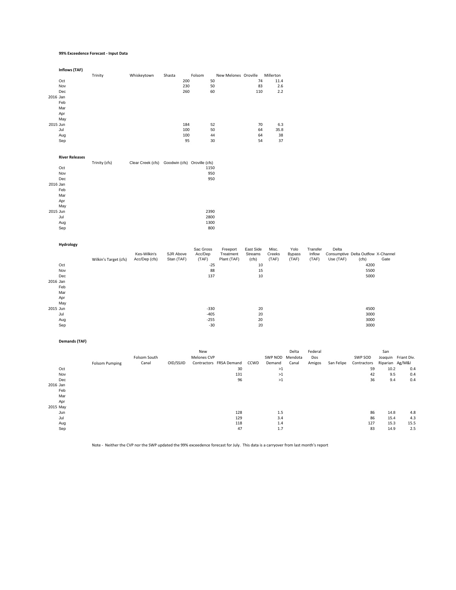### **99% Exceedence Forecast ‐ Input Data**

|          | Inflows (TAF)         |                       |                                                |                         |                  |                          |                  |                 |                        |                 |            |                                              |                 |                     |
|----------|-----------------------|-----------------------|------------------------------------------------|-------------------------|------------------|--------------------------|------------------|-----------------|------------------------|-----------------|------------|----------------------------------------------|-----------------|---------------------|
|          |                       | Trinity               | Whiskeytown                                    | Shasta                  | Folsom           | New Melones Oroville     |                  | Millerton       |                        |                 |            |                                              |                 |                     |
|          | Oct                   |                       |                                                | 200                     | 50               |                          |                  | 74<br>11.4      |                        |                 |            |                                              |                 |                     |
|          | Nov                   |                       |                                                | 230                     | 50               |                          | 83               | 2.6             |                        |                 |            |                                              |                 |                     |
|          | Dec                   |                       |                                                | 260                     | 60               |                          | 110              | 2.2             |                        |                 |            |                                              |                 |                     |
| 2016 Jan | Feb                   |                       |                                                |                         |                  |                          |                  |                 |                        |                 |            |                                              |                 |                     |
|          | Mar                   |                       |                                                |                         |                  |                          |                  |                 |                        |                 |            |                                              |                 |                     |
|          | Apr                   |                       |                                                |                         |                  |                          |                  |                 |                        |                 |            |                                              |                 |                     |
|          | May                   |                       |                                                |                         |                  |                          |                  |                 |                        |                 |            |                                              |                 |                     |
| 2015 Jun |                       |                       |                                                | 184                     | 52               |                          |                  | 70<br>6.3       |                        |                 |            |                                              |                 |                     |
|          | Jul                   |                       |                                                | 100                     | 50               |                          | 64               | 35.8            |                        |                 |            |                                              |                 |                     |
|          | Aug                   |                       |                                                | 100                     | 44               |                          | 64               | 38              |                        |                 |            |                                              |                 |                     |
|          | Sep                   |                       |                                                | 95                      | 30               |                          | 54               | 37              |                        |                 |            |                                              |                 |                     |
|          |                       |                       |                                                |                         |                  |                          |                  |                 |                        |                 |            |                                              |                 |                     |
|          | <b>River Releases</b> |                       |                                                |                         |                  |                          |                  |                 |                        |                 |            |                                              |                 |                     |
|          |                       | Trinity (cfs)         | Clear Creek (cfs) Goodwin (cfs) Oroville (cfs) |                         |                  |                          |                  |                 |                        |                 |            |                                              |                 |                     |
|          | Oct<br>Nov            |                       |                                                |                         | 1150<br>950      |                          |                  |                 |                        |                 |            |                                              |                 |                     |
|          | Dec                   |                       |                                                |                         | 950              |                          |                  |                 |                        |                 |            |                                              |                 |                     |
| 2016 Jan |                       |                       |                                                |                         |                  |                          |                  |                 |                        |                 |            |                                              |                 |                     |
|          | Feb                   |                       |                                                |                         |                  |                          |                  |                 |                        |                 |            |                                              |                 |                     |
|          | Mar                   |                       |                                                |                         |                  |                          |                  |                 |                        |                 |            |                                              |                 |                     |
|          | Apr                   |                       |                                                |                         |                  |                          |                  |                 |                        |                 |            |                                              |                 |                     |
|          | May                   |                       |                                                |                         |                  |                          |                  |                 |                        |                 |            |                                              |                 |                     |
| 2015 Jun |                       |                       |                                                |                         | 2390             |                          |                  |                 |                        |                 |            |                                              |                 |                     |
|          | Jul                   |                       |                                                |                         | 2800             |                          |                  |                 |                        |                 |            |                                              |                 |                     |
|          | Aug<br>Sep            |                       |                                                |                         | 1300<br>800      |                          |                  |                 |                        |                 |            |                                              |                 |                     |
|          |                       |                       |                                                |                         |                  |                          |                  |                 |                        |                 |            |                                              |                 |                     |
|          | Hydrology             |                       |                                                |                         |                  |                          |                  |                 |                        |                 |            |                                              |                 |                     |
|          |                       |                       |                                                |                         | Sac Gross        | Freeport                 | East Side        | Misc.           | Yolo                   | Transfer        | Delta      |                                              |                 |                     |
|          |                       |                       | Kes-Wilkin's<br>Acc/Dep (cfs)                  | SJR Above<br>Stan (TAF) | Acc/Dep<br>(TAF) | Treatment<br>Plant (TAF) | Streams<br>(cfs) | Creeks<br>(TAF) | <b>Bypass</b><br>(TAF) | Inflow<br>(TAF) | Use (TAF)  | Consumptive Delta Outflow X-Channel<br>(cfs) | Gate            |                     |
|          | Oct                   | Wilkin's Target (cfs) |                                                |                         | $-25$            |                          |                  | 10              |                        |                 |            | 4200                                         |                 |                     |
|          | Nov                   |                       |                                                |                         | 88               |                          |                  | $15\,$          |                        |                 |            | 5500                                         |                 |                     |
|          | Dec                   |                       |                                                |                         | 137              |                          |                  | 10              |                        |                 |            | 5000                                         |                 |                     |
| 2016 Jan |                       |                       |                                                |                         |                  |                          |                  |                 |                        |                 |            |                                              |                 |                     |
|          | Feb                   |                       |                                                |                         |                  |                          |                  |                 |                        |                 |            |                                              |                 |                     |
|          | Mar                   |                       |                                                |                         |                  |                          |                  |                 |                        |                 |            |                                              |                 |                     |
|          | Apr                   |                       |                                                |                         |                  |                          |                  |                 |                        |                 |            |                                              |                 |                     |
|          | May                   |                       |                                                |                         |                  |                          |                  |                 |                        |                 |            |                                              |                 |                     |
| 2015 Jun |                       |                       |                                                |                         | $-330$           |                          |                  | 20              |                        |                 |            | 4500                                         |                 |                     |
|          | Jul<br>Aug            |                       |                                                |                         | $-405$<br>$-255$ |                          |                  | 20<br>20        |                        |                 |            | 3000<br>3000                                 |                 |                     |
|          | Sep                   |                       |                                                |                         | $-30$            |                          |                  | 20              |                        |                 |            | 3000                                         |                 |                     |
|          |                       |                       |                                                |                         |                  |                          |                  |                 |                        |                 |            |                                              |                 |                     |
|          | <b>Demands (TAF)</b>  |                       |                                                |                         |                  |                          |                  |                 |                        |                 |            |                                              |                 |                     |
|          |                       |                       |                                                |                         | New              |                          |                  |                 | Delta                  | Federal         |            |                                              | San             |                     |
|          |                       |                       | Folsom South                                   |                         | Melones CVP      |                          |                  |                 | SWP NOD Mendota        | Dos             |            | SWP SOD                                      |                 | Joaquin Friant Div. |
|          |                       | <b>Folsom Pumping</b> | Canal                                          | OID/SSJID               |                  | Contractors FRSA Demand  | CCWD             | Demand          | Canal                  | Amigos          | San Felipe | Contractors                                  | Riparian Ag/M&I |                     |
|          | Oct                   |                       |                                                |                         |                  | 30                       |                  | $>1$            |                        |                 |            | 59                                           | 10.2            | 0.4                 |
|          | Nov                   |                       |                                                |                         |                  | 131                      |                  | $>1$            |                        |                 |            | 42                                           | 9.5             | 0.4                 |
|          | Dec                   |                       |                                                |                         |                  | 96                       |                  | $>1$            |                        |                 |            | 36                                           | 9.4             | 0.4                 |
| 2016 Jan |                       |                       |                                                |                         |                  |                          |                  |                 |                        |                 |            |                                              |                 |                     |
|          | Feb                   |                       |                                                |                         |                  |                          |                  |                 |                        |                 |            |                                              |                 |                     |
|          | Mar                   |                       |                                                |                         |                  |                          |                  |                 |                        |                 |            |                                              |                 |                     |
|          | Apr<br>2015 May       |                       |                                                |                         |                  |                          |                  |                 |                        |                 |            |                                              |                 |                     |
|          | Jun                   |                       |                                                |                         |                  | 128                      |                  | 1.5             |                        |                 |            | 86                                           | 14.8            | 4.8                 |
|          |                       |                       |                                                |                         |                  |                          |                  |                 |                        |                 |            |                                              |                 |                     |

Note ‐ Neither the CVP nor the SWP updated the 99% exceedence forecast for July. This data is a carryover from last month's report

Jul 129 3.4 86 15.4 4.3 Aug 118 1.4 127 15.3 15.5 Sep 47 1.7 83 14.9 2.5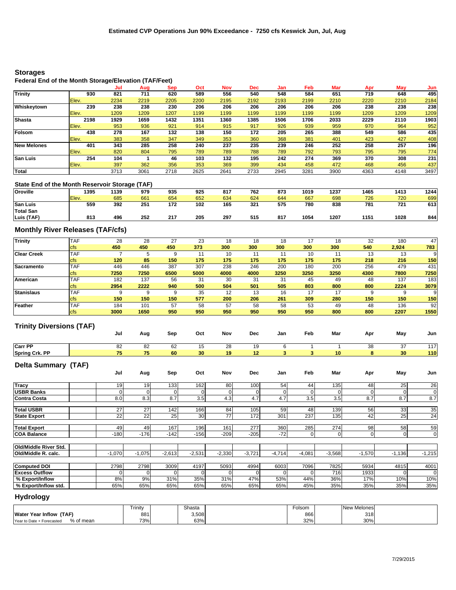## **Storages**

## **Federal End of the Month Storage/Elevation (TAF/Feet)**

|                    |       | Jul  | Aug  | Sep  | Oct  | <b>Nov</b> | Dec  | Jan  | Feb  | Mar  | Apr  | May  | Jun  |
|--------------------|-------|------|------|------|------|------------|------|------|------|------|------|------|------|
| <b>Trinity</b>     | 930   | 821  | 711  | 620  | 589  | 556        | 540  | 548  | 584  | 651  | 719  | 648  | 495  |
|                    | Elev. | 2234 | 2219 | 2205 | 2200 | 2195       | 2192 | 2193 | 2199 | 2210 | 2220 | 2210 | 2184 |
| Whiskeytown        | 239   | 238  | 238  | 230  | 206  | 206        | 206  | 206  | 206  | 206  | 238  | 238  | 238  |
|                    | Elev. | 1209 | 1209 | 1207 | 1199 | 1199       | 1199 | 1199 | 1199 | 1199 | 1209 | 1209 | 1209 |
| <b>Shasta</b>      | 2198  | 1929 | 1659 | 1432 | 1351 | 1360       | 1385 | 1506 | 1706 | 2033 | 2229 | 2110 | 1903 |
|                    | Elev. | 953  | 936  | 921  | 914  | 915        | 917  | 926  | 939  | 959  | 970  | 964  | 952  |
| Folsom             | 438   | 278  | 167  | 132  | 138  | 150        | 172  | 205  | 265  | 388  | 549  | 586  | 435  |
|                    | Elev. | 383  | 358  | 347  | 349  | 353        | 360  | 368  | 381  | 401  | 423  | 427  | 408  |
| <b>New Melones</b> | 401   | 343  | 285  | 258  | 240  | 237        | 235  | 239  | 246  | 252  | 258  | 257  | 196  |
|                    | Elev. | 820  | 804  | 795  | 789  | 789        | 788  | 789  | 792  | 793  | 795  | 795  | 774  |
| <b>San Luis</b>    | 254   | 104  |      | 46   | 103  | 132        | 195  | 242  | 274  | 369  | 370  | 308  | 231  |
|                    | Elev. | 397  | 362  | 356  | 353  | 369        | 399  | 434  | 458  | 472  | 468  | 456  | 437  |
| <b>Total</b>       |       | 3713 | 3061 | 2718 | 2625 | 2641       | 2733 | 2945 | 3281 | 3900 | 4363 | 4148 | 3497 |

## **State End of the Month Reservoir Storage (TAF)**

| <b>Oroville</b>  | 1395  | 1139 | 979 | 935 | 925 | 817 | 762 | 873 | 1019 | 1237 | 1465 | 1413 | 1244 |
|------------------|-------|------|-----|-----|-----|-----|-----|-----|------|------|------|------|------|
|                  | Elev. | 685  | 661 | 654 | 652 | 634 | 624 | 644 | 667  | 698  | 726  | 720  | 699  |
| <b>San Luis</b>  | 559   | 392  | 251 | 172 | 102 | 165 | 321 | 575 | 780  | 838  | 781  | 721  | 613  |
| <b>Total San</b> |       |      |     |     |     |     |     |     |      |      |      |      |      |
| Luis (TAF)       | 813   | 496  | 252 | 217 | 205 | 297 | 515 | 817 | 1054 | 1207 | 1151 | 1028 | 844  |

## **Monthly River Releases (TAF/cfs)**

| <b>Trinity</b>     | <b>TAF</b> | 28   | 28   | 27   | 23   | 18   | 18   | 18   |      | 18   | 32   | 180   | 47   |
|--------------------|------------|------|------|------|------|------|------|------|------|------|------|-------|------|
|                    | <b>cfs</b> | 450  | 450  | 450  | 373  | 300  | 300  | 300  | 300  | 300  | 540  | 2,924 | 783  |
| <b>Clear Creek</b> | <b>TAF</b> |      |      | a    |      | 10   |      |      | 10   |      | 13   | 13    | 9    |
|                    | <b>cfs</b> | 120  | 85   | 150  | 175  | 175  | 175  | 175  | 175  | 175  | 218  | 216   | 150  |
| Sacramento         | <b>TAF</b> | 446  | 446  | 387  | 307  | 238  | 246  | 200  | 180  | 200  | 256  | 479   | 431  |
|                    | <b>cfs</b> | 7250 | 7250 | 6500 | 5000 | 4000 | 4000 | 3250 | 3250 | 3250 | 4300 | 7800  | 7250 |
| <b>American</b>    | <b>TAF</b> | 182  | 137  | 56   | 31   | 30   | 31   | 31   | 45   | 49   | 48   | 137   | 183  |
|                    | <b>cfs</b> | 2954 | 2222 | 940  | 500  | 504  | 501  | 505  | 803  | 800  | 800  | 2224  | 3079 |
| <b>Stanislaus</b>  | <b>TAF</b> |      | 9    | 9    | 35   | 12   | 13   | 16   | 17   | 17   |      |       | 9    |
|                    | <b>cfs</b> | 150  | 150  | 150  | 577  | 200  | 206  | 261  | 309  | 280  | 150  | 150   | 150  |
| Feather            | <b>TAF</b> | 184  | 101  | 57   | 58   | 57   | 58   | 58   | 53   | 49   | 48   | 136   | 92   |
|                    | <b>cfs</b> | 3000 | 1650 | 950  | 950  | 950  | 950  | 950  | 950  | 800  | 800  | 2207  | 1550 |

## **Trinity Diversions (TAF)**

|                            | $\cdot$<br>, | Jul    | Aug    | Sep    | Oct             | Nov    | Dec    | Jan            | Feb            | Mar             | Apr | May | Jun         |
|----------------------------|--------------|--------|--------|--------|-----------------|--------|--------|----------------|----------------|-----------------|-----|-----|-------------|
| <b>Carr PP</b>             |              | 82     | 82     | 62     | 15              | 28     | 19     | 6              |                |                 | 38  | 37  | 117         |
| <b>Spring Crk. PP</b>      |              | 75     | 75     | 60     | 30              | 19     | 12     | 3 <sup>1</sup> | 3              | 10 <sup>1</sup> | 8   | 30  | 110         |
| <b>Delta Summary (TAF)</b> |              | Jul    | Aug    | Sep    | Oct             | Nov    | Dec    | Jan            | Feb            | Mar             | Apr | May | Jun         |
| <b>Tracy</b>               |              | 19     | 19     | 133    | 162             | 80     | 100    | 54             | 44             | 135             | 48  | 25  | 26          |
| <b>USBR Banks</b>          |              |        |        | 0      |                 | 0      |        |                | $\overline{0}$ |                 |     |     | 0           |
| Contra Costa               |              | 8.0    | 8.3    | 8.7    | 3.5             | 4.3    | 4.7    | 4.7            | 3.5            | 3.5             | 8.7 | 8.7 | 8.7         |
| <b>Total USBR</b>          |              | 27     | 27     | 142    | 166             | 84     | 105    | 59             | 48             | 139             | 56  | 33  | 35          |
| <b>State Export</b>        |              | 22     | 22     | 25     | 30 <sup>1</sup> | 77     | 172    | 301            | 237            | $135$           | 42  | 25  | 24          |
| <b>Total Export</b>        |              | 49     | 49     | 167    | 196             | 161    | 277    | 360            | 285            | 274             | 98  | 58  | 59          |
| <b>COA Balance</b>         |              | $-180$ | $-176$ | $-142$ | $-156$          | $-209$ | $-205$ | $-72$          | $\overline{0}$ | $\overline{0}$  |     |     | $\mathbf 0$ |

| TUIQ/MIQUE RIVER STO. |      |      |          |          |          |       |                  |          |          |       |      |      |
|-----------------------|------|------|----------|----------|----------|-------|------------------|----------|----------|-------|------|------|
| Old/Middle R. calc.   | .070 | .075 | $-2.613$ | $-2,531$ | $-2,330$ | 3,721 | $-4.714$<br>T. 1 | $-4,081$ | $-3,568$ | 1,570 | 136  | .215 |
|                       |      |      |          |          |          |       |                  |          |          |       |      |      |
| <b>Computed DOI</b>   | 2798 | 2798 | 3009     | 4197     | 5093     | 4994  | 6003             | 7096     | 7825     | 5934  | 4815 | 4001 |
| <b>Excess Outflow</b> |      |      |          |          |          |       |                  |          | 716      | 1933  |      |      |
| │% Export/Inflow      | 8%   | 9%   | 31%      | 35%      | 31%      | 47%   | 53%              | 44%      | 36%      | 17%   | 10%  | 10%  |
| Ⅰ% Export/Inflow std. | 65%  | 65%  | 65%      | 65%      | 65%      | 65%   | 65%              | 45%      | 35%      | 35%   | 35%  | 35%  |

## **Hydrology**

**Old/Middle River Std.**

 $\top$ 

|                                        | Trinity | Shasta | Folsom | New Melones |  |
|----------------------------------------|---------|--------|--------|-------------|--|
| <b>Water Year Inflow</b><br>(TAF)      | 881     | 3,508  | 866    | 318         |  |
| % of mean<br>Year to Date + Forecasted | 73%     | 63%    | 32%    | 30%         |  |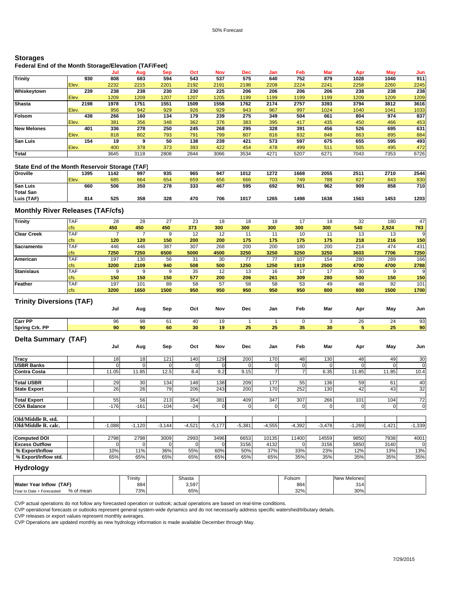## **Storages**

## **Federal End of the Month Storage/Elevation (TAF/Feet)**

|                    |       | Jul  | Aug  | Sep  | Oct  | Nov  | <b>Dec</b> | Jan  | Feb  | Mar  | Apr  | May  | Jun  |
|--------------------|-------|------|------|------|------|------|------------|------|------|------|------|------|------|
| <b>Trinity</b>     | 930   | 808  | 683  | 594  | 543  | 537  | 575        | 640  | 752  | 879  | 1028 | 1040 | 911  |
|                    | Elev. | 2232 | 2215 | 2201 | 2192 | 2191 | 2198       | 2208 | 2224 | 2241 | 2258 | 2260 | 2245 |
| Whiskeytown        | 239   | 238  | 238  | 230  | 230  | 225  | 206        | 206  | 206  | 206  | 238  | 238  | 238  |
|                    | Elev. | 1209 | 1209 | 1207 | 1207 | 1205 | 1199       | 1199 | 1199 | 1199 | 1209 | 1209 | 1209 |
| <b>Shasta</b>      | 2198  | 1978 | 1751 | 1551 | 1509 | 1558 | 1762       | 2174 | 2757 | 3393 | 3794 | 3812 | 3616 |
|                    | Elev. | 956  | 942  | 929  | 926  | 929  | 943        | 967  | 997  | 1024 | 1040 | 1041 | 1033 |
| Folsom             | 438   | 266  | 160  | 134  | 179  | 239  | 275        | 349  | 504  | 661  | 804  | 974  | 837  |
|                    | Elev. | 381  | 356  | 348  | 362  | 376  | 383        | 395  | 417  | 435  | 450  | 466  | 453  |
| <b>New Melones</b> | 401   | 336  | 278  | 250  | 245  | 268  | 295        | 328  | 391  | 456  | 526  | 695  | 631  |
|                    | Elev. | 818  | 802  | 793  | 791  | 799  | 807        | 816  | 832  | 848  | 863  | 895  | 884  |
| <b>San Luis</b>    | 154   | 19   | 9    | 50   | 138  | 239  | 421        | 573  | 597  | 675  | 655  | 595  | 493  |
|                    | Elev. | 400  | 378  | 373  | 393  | 422  | 454        | 478  | 499  | 511  | 505  | 495  | 472  |
| Total              |       | 3645 | 3118 | 2808 | 2844 | 3066 | 3534       | 4271 | 5207 | 627' | 7043 | 7353 | 6726 |

### **State End of the Month Reservoir Storage (TAF)**

| ------------<br>------ |       |      |     |     |     |     |      |      |      |      |      |      |      |  |
|------------------------|-------|------|-----|-----|-----|-----|------|------|------|------|------|------|------|--|
| <b>Oroville</b>        | 1395  | 1142 | 997 | 935 | 965 | 947 | 1012 | 1272 | 1668 | 2055 | 251  | 2710 | 2544 |  |
|                        | Elev. | 685  | 664 | 654 | 659 | 656 | 666  | 703  | 749  | 788  | 827  | 843  | 830  |  |
| <b>San Luis</b>        | 660   | 506  | 350 | 278 | 333 | 467 | 595  | 692  | 901  | 962  | 909  | 858  | 710  |  |
| <b>Total San</b>       |       |      |     |     |     |     |      |      |      |      |      |      |      |  |
| Luis (TAF)             | 814   | 525  | 358 | 328 | 470 | 706 | 1017 | 1265 | 1498 | 1638 | 1563 | 1453 | 1203 |  |

## **Monthly River Releases (TAF/cfs)**

| <b>Trinity</b>                  | <b>TAF</b> | 28             | 28             | 27          | 23          | 18          | 18             | 18             | 17             | 18          | 32           | 180            | 47             |
|---------------------------------|------------|----------------|----------------|-------------|-------------|-------------|----------------|----------------|----------------|-------------|--------------|----------------|----------------|
|                                 | <b>cfs</b> | 450            | 450            | 450         | 373         | 300         | 300            | 300            | 300            | 300         | 540          | 2,924          | 783            |
| <b>Clear Creek</b>              | <b>TAF</b> | $\overline{7}$ | $\overline{7}$ | 9           | 12          | 12          | 11             | 11             | 10             | 11          | 13           | 13             | $\overline{9}$ |
|                                 | cfs        | 120            | 120            | 150         | 200         | 200         | 175            | 175            | 175            | 175         | 218          | 216            | 150            |
| Sacramento                      | <b>TAF</b> | 446            | 446            | 387         | 307         | 268         | 200            | 200            | 180            | 200         | 214          | 474            | 431            |
|                                 | cfs        | 7250           | 7250           | 6500        | 5000        | 4500        | 3250           | 3250           | 3250           | 3250        | 3603         | 7706           | 7250           |
| American                        | <b>TAF</b> | 197            | 130            | 56          | 31          | 30          | 77             | 77             | 107            | 154         | 280          | 289            | 166            |
|                                 | cfs        | 3200           | 2109           | 940         | 508         | 500         | 1250           | 1250           | 1919           | 2500        | 4700         | 4700           | 2788           |
| <b>Stanislaus</b>               | <b>TAF</b> | 9              | 9              | 9           | 35          | 12          | 13             | 16             | 17             | 17          | 30           | 9              | $\mathbf{Q}$   |
|                                 | cfs        | 150            | 150            | 150         | 577         | 200         | 206            | 261            | 309            | 280         | 500          | 150            | 150            |
| Feather                         | TAF        | 197            | 101            | 89          | 58          | 57          | 58             | 58             | 53             | 49          | 48           | 92             | 101            |
|                                 | cfs        | 3200           | 1650           | 1500        | 950         | 950         | 950            | 950            | 950            | 800         | 800          | 1500           | 1700           |
| <b>Trinity Diversions (TAF)</b> |            |                |                |             |             |             |                |                |                |             |              |                |                |
|                                 |            | Jul            | Aug            | Sep         | Oct         | Nov         | Dec            | Jan            | Feb            | Mar         | Apr          | May            | Jun            |
| Carr PP                         |            | 96             | 98             | 61          | 40          | 19          | $\overline{1}$ | $\mathbf{1}$   | $\mathbf 0$    | 3           | 26           | 24             | 93             |
| <b>Spring Crk. PP</b>           |            | 90             | 90             | 60          | 30          | 19          | 25             | 25             | 35             | 30          | 5            | 25             | 90             |
| <b>Delta Summary (TAF)</b>      |            | Jul            | Aug            | Sep         | Oct         | Nov         | Dec            | Jan            | Feb            | Mar         | Apr          | May            | Jun            |
| Tracy                           |            | 18             | 18             | 121         | 140         | 129         | 200            | 170            | 48             | 130         | 48           | 49             | 30             |
| <b>USBR Banks</b>               |            | $\Omega$       | $\mathbf 0$    | $\mathbf 0$ | $\mathbf 0$ | $\mathbf 0$ | $\Omega$       | $\mathbf 0$    | $\mathbf 0$    | $\mathbf 0$ | $\mathbf{0}$ | $\Omega$       | $\mathbf 0$    |
| <b>Contra Costa</b>             |            | 11.05          | 11.85          | 12.5        | 8.4         | 9.2         | 9.15           | $\overline{7}$ | $\overline{7}$ | 6.35        | 11.85        | 11.85          | 10.4           |
| <b>Total USBR</b>               |            | 29             | 30             | 134         | 148         | 138         | 209            | 177            | 55             | 136         | 59           | 61             | 40             |
| <b>State Export</b>             |            | 26             | 26             | 79          | 206         | 243         | 200            | 170            | 252            | 130         | 42           | 43             | 32             |
| <b>Total Export</b>             |            | 55             | 56             | 213         | 354         | 381         | 409            | 347            | 307            | 266         | 101          | 104            | 72             |
| <b>COA Balance</b>              |            | $-176$         | $-161$         | $-104$      | $-24$       | $\mathbf 0$ | $\mathbf 0$    | 0              | 0              | $\mathbf 0$ | $\mathbf{O}$ | $\overline{0}$ | $\mathbf 0$    |
|                                 |            |                |                |             |             |             |                |                |                |             |              |                |                |
| Old/Middle R. std.              |            |                |                |             |             |             |                |                |                |             |              |                |                |
| Old/Middle R. calc.             |            | $-1,088$       | $-1,120$       | $-3,144$    | $-4,521$    | $-5,177$    | $-5,381$       | $-4,555$       | $-4,392$       | $-3,478$    | $-1,269$     | $-1,421$       | $-1,339$       |
| <b>Computed DOI</b>             |            | 2798           | 2798           | 3009        | 2993        | 3496        | 6653           | 10135          | 11400          | 14559       | 9850         | 7938           | 4001           |
| <b>Excess Outflow</b>           |            | $\Omega$       | 0              | $\Omega$    | $\mathbf 0$ | 0           | 3156           | 4132           | 0              | 3156        | 5850         | 3140           | $\mathbf 0$    |
| % Export/Inflow                 |            | 10%            | 11%            | 36%         | 55%         | 60%         | 50%            | 37%            | 33%            | 23%         | 12%          | 13%            | 13%            |
| % Export/Inflow std.            |            | 65%            | 65%            | 65%         | 65%         | 65%         | 65%            | 65%            | 35%            | 35%         | 35%          | 35%            | 35%            |
|                                 |            |                |                |             |             |             |                |                |                |             |              |                |                |

## **Hydrology**

|                                        | Trinity | Shasta | Folsom | New Melones |  |
|----------------------------------------|---------|--------|--------|-------------|--|
| <b>Water Year Inflow</b><br>(TAF       | 884     | 3,597  | 884    | 314         |  |
| % of mean<br>Year to Date + Forecasted | 73%     | 65%    | 32%    | 30%         |  |

CVP actual operations do not follow any forecasted operation or outlook; actual operations are based on real-time conditions.

CVP operational forecasts or outlooks represent general system-wide dynamics and do not necessarily address specific watershed/tributary details.

CVP releases or export values represent monthly averages.

CVP Operations are updated monthly as new hydrology information is made available December through May.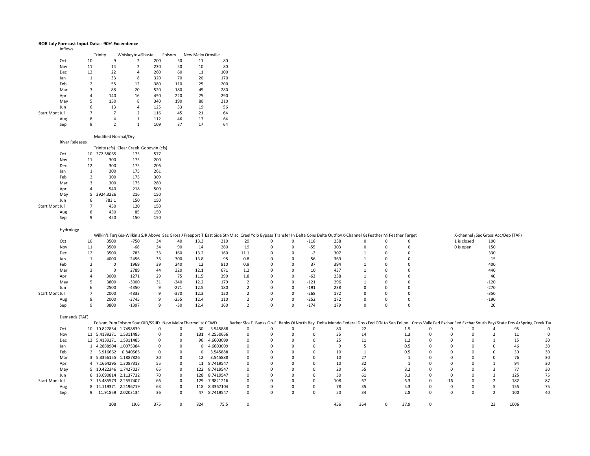#### **BOR July Forecast Input Data ‐ 90% Exceedence** Inflows

|                |                       | Trinity | Whiskeytow Shasta |     | Folsom | New Melor Oroville |     |
|----------------|-----------------------|---------|-------------------|-----|--------|--------------------|-----|
| Oct            | 10                    | 9       | $\overline{2}$    | 200 | 50     | 11                 | 80  |
|                | Nov<br>11             | 14      | 2                 | 230 | 50     | 10                 | 80  |
|                | 12<br>Dec             | 22      | 4                 | 260 | 60     | 11                 | 100 |
| Jan            | 1                     | 33      | 8                 | 320 | 70     | 20                 | 170 |
|                | $\overline{2}$<br>Feb | 55      | 12                | 380 | 110    | 25                 | 200 |
|                | 3<br>Mar              | 88      | 20                | 520 | 180    | 45                 | 280 |
|                | 4<br>Apr              | 140     | 16                | 450 | 220    | 75                 | 290 |
|                | 5<br>May              | 150     | 8                 | 340 | 190    | 80                 | 210 |
| Jun            | 6                     | 13      | 4                 | 125 | 53     | 19                 | 56  |
| Start Mont Jul | 7                     | 7       | $\overline{2}$    | 116 | 45     | 21                 | 64  |
|                | 8<br>Aug              | 4       | 1                 | 112 | 46     | 17                 | 64  |
|                | 9<br>Sep              |         | 1                 | 109 | 37     | 17                 | 64  |

#### Modified Normal/Dry

| <b>River Releases</b> |                |           |     |                                         |
|-----------------------|----------------|-----------|-----|-----------------------------------------|
|                       |                |           |     | Trinity (cfs) Clear Creek Goodwin (cfs) |
| Oct                   | 10             | 372.58065 | 175 | 577                                     |
| Nov                   | 11             | 300       | 175 | 200                                     |
| Dec                   | 12             | 300       | 175 | 206                                     |
| Jan                   | 1              | 300       | 175 | 261                                     |
| Feb                   | $\overline{2}$ | 300       | 175 | 309                                     |
| Mar                   | 3              | 300       | 175 | 280                                     |
| Apr                   | 4              | 540       | 218 | 500                                     |
| May                   | 5.             | 2924.3226 | 216 | 150                                     |
| Jun                   | 6              | 783.1     | 150 | 150                                     |
| <b>Start Mont Jul</b> | 7              | 450       | 120 | 150                                     |
| Aug                   | 8              | 450       | 85  | 150                                     |
| Sep                   | 9              | 450       | 150 | 150                                     |

|                       | Hydrology     |    |              |                                                            |          |              |          |                                                                                                                                                                                |                |              |              |             |          |              |              |             |              |          |             |                |                                                                                                                                                                           |    |
|-----------------------|---------------|----|--------------|------------------------------------------------------------|----------|--------------|----------|--------------------------------------------------------------------------------------------------------------------------------------------------------------------------------|----------------|--------------|--------------|-------------|----------|--------------|--------------|-------------|--------------|----------|-------------|----------------|---------------------------------------------------------------------------------------------------------------------------------------------------------------------------|----|
|                       |               |    |              |                                                            |          |              |          | Wilkin's Tar; Kes-Wilkin's SJR Above Sac Gross / Freeport TI East Side Str Misc. Creel Yolo Bypass Transfer In Delta Cons Delta Outflov X-Channel G: Feather Mi Feather Target |                |              |              |             |          |              |              |             |              |          |             |                | X-channel (Sac Gross Acc/Dep (TAF)                                                                                                                                        |    |
|                       | Oct           | 10 | 3500         | $-750$                                                     | 34       | 40           | 13.3     | 210                                                                                                                                                                            | 29             | $\mathbf{0}$ | $\mathbf 0$  | $-118$      | 258      | $\mathbf{0}$ | 0            | $\Omega$    |              |          | 1 is closed | 100            |                                                                                                                                                                           |    |
|                       | Nov           | 11 | 3500         | $-68$                                                      | 34       | 90           | 14       | 260                                                                                                                                                                            | 19             | $\Omega$     | $\mathbf 0$  | $-55$       | 303      | $\Omega$     | 0            | $\Omega$    |              |          | 0 is open   | 150            |                                                                                                                                                                           |    |
|                       | Dec           | 12 | 3500         | 785                                                        | 33       | 160          | 13.2     | 160                                                                                                                                                                            | 11.1           |              | $\mathbf 0$  | $-2$        | 307      |              |              | $\Omega$    |              |          |             | 330            |                                                                                                                                                                           |    |
|                       | Jan           |    | 4000         | 2456                                                       | 36       | 300          | 13.8     | 98                                                                                                                                                                             | 0.8            | $\Omega$     | $\mathbf{0}$ | 56          | 369      |              | $\mathbf 0$  | $\Omega$    |              |          |             | 15             |                                                                                                                                                                           |    |
|                       | Feb           |    | $^{\circ}$   | 1969                                                       | 39       | 240          | 12       | 810                                                                                                                                                                            | 0.9            | $\Omega$     | $\Omega$     | 37          | 394      |              | $\mathbf 0$  | $\Omega$    |              |          |             | 400            |                                                                                                                                                                           |    |
|                       | Mar           |    | $\mathbf{0}$ | 2789                                                       | 44       | 320          | 12.1     | 671                                                                                                                                                                            | 1.2            | $\Omega$     | $\Omega$     | 10          | 437      |              | $\Omega$     | $\Omega$    |              |          |             | 440            |                                                                                                                                                                           |    |
|                       | Apr           |    | 3000         | 1271                                                       | 29       | 75           | 11.5     | 390                                                                                                                                                                            | 1.8            |              | $\mathbf{0}$ | $-63$       | 238      |              | $\Omega$     | $\Omega$    |              |          |             | 40             |                                                                                                                                                                           |    |
|                       | May           |    | 3800         | $-3000$                                                    | 31       | $-340$       | 12.2     | 179                                                                                                                                                                            | $\overline{2}$ |              | $\Omega$     | $-121$      | 296      |              |              | $\Omega$    |              |          |             | $-120$         |                                                                                                                                                                           |    |
|                       | Jun           | 6  | 2500         | $-4350$                                                    | 9        | $-271$       | 12.5     | 180                                                                                                                                                                            | $\overline{2}$ | $\Omega$     | $\mathbf 0$  | $-191$      | 238      | $\Omega$     | $\mathbf 0$  | $\Omega$    |              |          |             | $-270$         |                                                                                                                                                                           |    |
| <b>Start Mont Jul</b> |               |    | 2000         | $-4833$                                                    | 9        | $-370$       | 12.3     | 120                                                                                                                                                                            | $\overline{2}$ | $\Omega$     | $\mathbf{0}$ | $-268$      | 172      | $\Omega$     | 0            | $\mathbf 0$ |              |          |             | $-350$         |                                                                                                                                                                           |    |
|                       | Aug           | 8  | 2000         | $-3745$                                                    | 9        | $-255$       | 12.4     | 110                                                                                                                                                                            | $\overline{2}$ | $\mathbf 0$  | $\mathbf 0$  | $-252$      | 172      | $\Omega$     | $\mathbf 0$  | $\Omega$    |              |          |             | $-190$         |                                                                                                                                                                           |    |
|                       | Sep           | 9  | 3800         | $-1397$                                                    | 9        | $-30$        | 12.4     | 160                                                                                                                                                                            | $\overline{2}$ | $\mathbf 0$  | $\mathbf 0$  | $-174$      | 179      | $\mathbf 0$  | $\mathbf 0$  | $\Omega$    |              |          |             | 20             |                                                                                                                                                                           |    |
|                       | Demands (TAF) |    |              |                                                            |          |              |          |                                                                                                                                                                                |                |              |              |             |          |              |              |             |              |          |             |                |                                                                                                                                                                           |    |
|                       |               |    |              | Folsom Pum Folsom Sout OID/SSJID New Melor Thermolito CCWD |          |              |          |                                                                                                                                                                                |                |              |              |             |          |              |              |             |              |          |             |                | Barker Slou F. Banks On F. Banks Of North Bay , Delta Mendo Federal Dos , Fed O'N to San Felipe Cross Valle Fed Exchar Fed Exchar South Bay/State Dos Ar Spring Creek Tur |    |
|                       | Oct           |    |              | 10 10.827854 1.7498839                                     | 0        | 0            | 30       | 3.545888                                                                                                                                                                       | 0              | 0            | $\Omega$     | 0           | 80       | 22           |              | 1.5         | $\Omega$     | 0        | $\Omega$    |                | 95                                                                                                                                                                        |    |
|                       | Nov           |    |              | 11 5.4139271 1.5311485                                     | 0        | 0            | 131      | 4.2550656                                                                                                                                                                      | 0              |              | $\Omega$     | 0           | 35       | 14           |              | 1.3         |              | 0        |             | 2              | 11                                                                                                                                                                        |    |
|                       | Dec           |    |              | 12 5.4139271 1.5311485                                     | 0        | $\mathbf{0}$ | 96       | 4.6603099                                                                                                                                                                      | 0              |              | $\mathbf 0$  | 0           | 25       | 11           |              | 1.2         |              | 0        |             |                | 15                                                                                                                                                                        | 30 |
|                       | Jan           |    |              | 4.2888904 1.0975384                                        | 0        | 0            |          | 0 4.6603099                                                                                                                                                                    | 0              |              | $\Omega$     | 0           | $\Omega$ | 5            |              | 0.5         |              | $\Omega$ |             | $\Omega$       | 46                                                                                                                                                                        | 30 |
|                       | Feb           |    | 3.916662     | 0.840565                                                   | $\Omega$ | 0            | $\Omega$ | 3.545888                                                                                                                                                                       | $\mathbf 0$    |              |              |             | 10       |              |              | 0.5         |              |          |             | 0              | 30                                                                                                                                                                        | 30 |
|                       | Mar           |    |              | 3 5.3356155 1.1887826                                      | 20       | 0            | 12       | 3.545888                                                                                                                                                                       | 0              | $\Omega$     | $\Omega$     | $\mathbf 0$ | 10       | 27           |              |             |              |          |             | 0              | 76                                                                                                                                                                        | 30 |
|                       | Apr           |    |              | 4 7.1664295 1.3087313                                      | 55       | 0            | 11       | 8.7419547                                                                                                                                                                      | $\mathbf 0$    |              |              | $\Omega$    | 10       | 32           |              |             |              |          |             |                | 94                                                                                                                                                                        | 30 |
|                       | May           |    |              | 5 10.422346 1.7427027                                      | 65       | $^{\circ}$   |          | 122 8.7419547                                                                                                                                                                  | $\mathbf{0}$   |              | $\Omega$     | $\Omega$    | 20       | 55           |              | 8.2         |              |          |             |                | 77                                                                                                                                                                        | 30 |
|                       | Jun           |    |              | 6 13.690814 2.1137732                                      | 70       | 0            | 128      | 8.7419547                                                                                                                                                                      | 0              | $\Omega$     | $\Omega$     | $\Omega$    | 30       | 61           |              | 8.3         |              | $\Omega$ |             | $\overline{3}$ | 125                                                                                                                                                                       | 75 |
| <b>Start Mont Jul</b> |               |    |              | 7 15.485573 2.2557407                                      | 66       | $\mathbf{0}$ | 129      | 7.9821216                                                                                                                                                                      | $\mathbf 0$    |              | $\Omega$     | $\mathbf 0$ | 108      | 67           |              | 6.3         | $\Omega$     | $-16$    |             | $\overline{2}$ | 182                                                                                                                                                                       | 87 |
|                       | Aug           |    |              | 8 14.119371 2.2196719                                      | 63       | $\mathbf{0}$ |          | 118 8.3367104                                                                                                                                                                  | $\mathbf{0}$   | $\Omega$     | $\Omega$     | 0           | 78       | 35           |              | 5.3         | $\Omega$     | 0        | $\Omega$    | 5              | 155                                                                                                                                                                       | 75 |
|                       | Sep           |    |              | 9 11.91859 2.0203134                                       | 36       | $\Omega$     | 47       | 8.7419547                                                                                                                                                                      | $\mathbf{0}$   | $\mathbf 0$  | $\Omega$     | $\mathbf 0$ | 50       | 34           |              | 2.8         |              | 0        | $\Omega$    | $\overline{2}$ | 100                                                                                                                                                                       | 40 |
|                       |               |    | 108          | 19.6                                                       | 375      | $\mathbf{0}$ | 824      | 75.5                                                                                                                                                                           | $\mathbf{0}$   |              |              |             | 456      | 364          | $\mathbf{0}$ | 37.9        | $\mathbf{0}$ |          |             | 23             | 1006                                                                                                                                                                      |    |